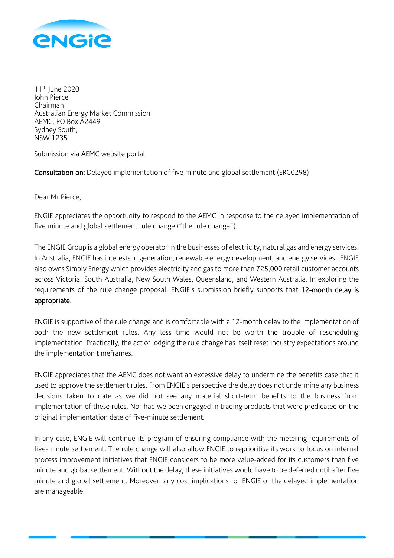

11<sup>th</sup> June 2020 John Pierce Chairman Australian Energy Market Commission AEMC, PO Box A2449 Sydney South, NSW 1235

Submission via AEMC website portal

# Consultation on: Delayed implementation of five minute and global settlement (ERC0298)

Dear Mr Pierce,

ENGIE appreciates the opportunity to respond to the AEMC in response to the delayed implementation of five minute and global settlement rule change ("the rule change").

The ENGIE Group is a global energy operator in the businesses of electricity, natural gas and energy services. In Australia, ENGIE has interests in generation, renewable energy development, and energy services. ENGIE also owns Simply Energy which provides electricity and gas to more than 725,000 retail customer accounts across Victoria, South Australia, New South Wales, Queensland, and Western Australia. In exploring the requirements of the rule change proposal, ENGIE's submission briefly supports that 12-month delay is appropriate.

ENGIE is supportive of the rule change and is comfortable with a 12-month delay to the implementation of both the new settlement rules. Any less time would not be worth the trouble of rescheduling implementation. Practically, the act of lodging the rule change has itself reset industry expectations around the implementation timeframes.

ENGIE appreciates that the AEMC does not want an excessive delay to undermine the benefits case that it used to approve the settlement rules. From ENGIE's perspective the delay does not undermine any business decisions taken to date as we did not see any material short-term benefits to the business from implementation of these rules. Nor had we been engaged in trading products that were predicated on the original implementation date of five-minute settlement.

In any case, ENGIE will continue its program of ensuring compliance with the metering requirements of five-minute settlement. The rule change will also allow ENGIE to reprioritise its work to focus on internal process improvement initiatives that ENGIE considers to be more value-added for its customers than five minute and global settlement. Without the delay, these initiatives would have to be deferred until after five minute and global settlement. Moreover, any cost implications for ENGIE of the delayed implementation are manageable.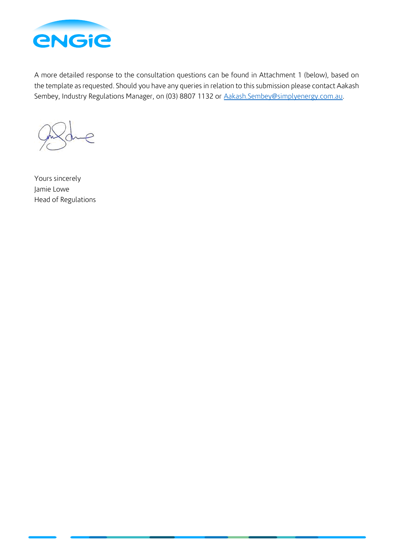

A more detailed response to the consultation questions can be found in Attachment 1 (below), based on the template as requested. Should you have any queries in relation to this submission please contact Aakash Sembey, Industry Regulations Manager, on (03) 8807 1132 or [Aakash.Sembey@simplyenergy.com.au.](mailto:Aakash.Sembey@simplyenergy.com.au)

Yours sincerely Jamie Lowe Head of Regulations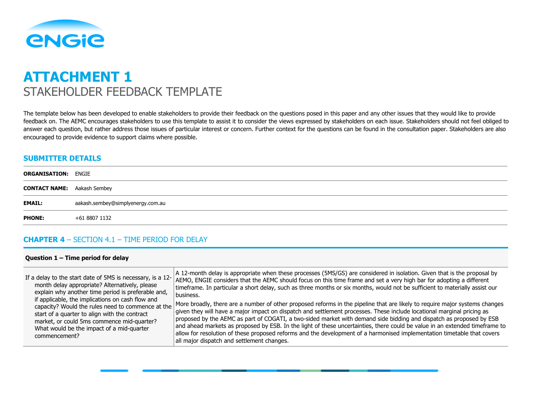

# **ATTACHMENT 1** STAKEHOLDER FEEDBACK TEMPLATE

The template below has been developed to enable stakeholders to provide their feedback on the questions posed in this paper and any other issues that they would like to provide feedback on. The AEMC encourages stakeholders to use this template to assist it to consider the views expressed by stakeholders on each issue. Stakeholders should not feel obliged to answer each question, but rather address those issues of particular interest or concern. Further context for the questions can be found in the consultation paper. Stakeholders are also encouraged to provide evidence to support claims where possible.

#### **SUBMITTER DETAILS**

| <b>ORGANISATION: ENGIE</b>         |                                   |
|------------------------------------|-----------------------------------|
| <b>CONTACT NAME:</b> Aakash Sembey |                                   |
| <b>EMAIL:</b>                      | aakash.sembey@simplyenergy.com.au |
| <b>PHONE:</b>                      | +61 8807 1132                     |
|                                    |                                   |

#### **CHAPTER 4** – SECTION 4.1 – TIME PERIOD FOR DELAY

#### **Question 1 – Time period for delay**

| If a delay to the start date of 5MS is necessary, is a $12$ -                                                                                                                                                  | A 12-month delay is appropriate when these processes (5MS/GS) are considered in isolation. Given that is the proposal by                                                                                                                                                                                                                                                                                                                                                                                                                                                                                                                                                             |
|----------------------------------------------------------------------------------------------------------------------------------------------------------------------------------------------------------------|--------------------------------------------------------------------------------------------------------------------------------------------------------------------------------------------------------------------------------------------------------------------------------------------------------------------------------------------------------------------------------------------------------------------------------------------------------------------------------------------------------------------------------------------------------------------------------------------------------------------------------------------------------------------------------------|
| month delay appropriate? Alternatively, please                                                                                                                                                                 | AEMO, ENGIE considers that the AEMC should focus on this time frame and set a very high bar for adopting a different                                                                                                                                                                                                                                                                                                                                                                                                                                                                                                                                                                 |
| explain why another time period is preferable and,                                                                                                                                                             | timeframe. In particular a short delay, such as three months or six months, would not be sufficient to materially assist our                                                                                                                                                                                                                                                                                                                                                                                                                                                                                                                                                         |
| if applicable, the implications on cash flow and                                                                                                                                                               | business.                                                                                                                                                                                                                                                                                                                                                                                                                                                                                                                                                                                                                                                                            |
| capacity? Would the rules need to commence at the<br>start of a quarter to align with the contract<br>market, or could 5ms commence mid-quarter?<br>What would be the impact of a mid-quarter<br>commencement? | More broadly, there are a number of other proposed reforms in the pipeline that are likely to require major systems changes<br>given they will have a major impact on dispatch and settlement processes. These include locational marginal pricing as<br>proposed by the AEMC as part of COGATI, a two-sided market with demand side bidding and dispatch as proposed by ESB<br>and ahead markets as proposed by ESB. In the light of these uncertainties, there could be value in an extended timeframe to<br>allow for resolution of these proposed reforms and the development of a harmonised implementation timetable that covers<br>all major dispatch and settlement changes. |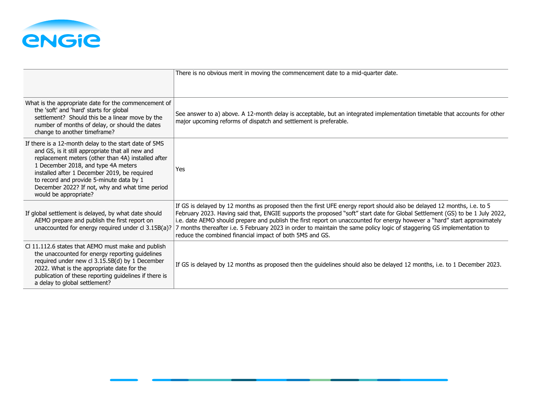

|                                                                                                                                                                                                                                                                                                                                                                                | There is no obvious merit in moving the commencement date to a mid-quarter date.                                                                                                                                                                                                                                                                                                                                                                                                                                                                                          |
|--------------------------------------------------------------------------------------------------------------------------------------------------------------------------------------------------------------------------------------------------------------------------------------------------------------------------------------------------------------------------------|---------------------------------------------------------------------------------------------------------------------------------------------------------------------------------------------------------------------------------------------------------------------------------------------------------------------------------------------------------------------------------------------------------------------------------------------------------------------------------------------------------------------------------------------------------------------------|
| What is the appropriate date for the commencement of<br>the 'soft' and 'hard' starts for global<br>settlement? Should this be a linear move by the<br>number of months of delay, or should the dates<br>change to another timeframe?                                                                                                                                           | See answer to a) above. A 12-month delay is acceptable, but an integrated implementation timetable that accounts for other<br>major upcoming reforms of dispatch and settlement is preferable.                                                                                                                                                                                                                                                                                                                                                                            |
| If there is a 12-month delay to the start date of 5MS<br>and GS, is it still appropriate that all new and<br>replacement meters (other than 4A) installed after<br>1 December 2018, and type 4A meters<br>installed after 1 December 2019, be required<br>to record and provide 5-minute data by 1<br>December 2022? If not, why and what time period<br>would be appropriate? | Yes                                                                                                                                                                                                                                                                                                                                                                                                                                                                                                                                                                       |
| If global settlement is delayed, by what date should<br>AEMO prepare and publish the first report on<br>unaccounted for energy required under cl 3.15B(a)?                                                                                                                                                                                                                     | If GS is delayed by 12 months as proposed then the first UFE energy report should also be delayed 12 months, i.e. to 5<br>February 2023. Having said that, ENGIE supports the proposed "soft" start date for Global Settlement (GS) to be 1 July 2022,<br>i.e. date AEMO should prepare and publish the first report on unaccounted for energy however a "hard" start approximately<br>7 months thereafter i.e. 5 February 2023 in order to maintain the same policy logic of staggering GS implementation to<br>reduce the combined financial impact of both 5MS and GS. |
| Cl 11.112.6 states that AEMO must make and publish<br>the unaccounted for energy reporting guidelines<br>required under new cl 3.15.5B(d) by 1 December<br>2022. What is the appropriate date for the<br>publication of these reporting guidelines if there is<br>a delay to global settlement?                                                                                | If GS is delayed by 12 months as proposed then the guidelines should also be delayed 12 months, i.e. to 1 December 2023.                                                                                                                                                                                                                                                                                                                                                                                                                                                  |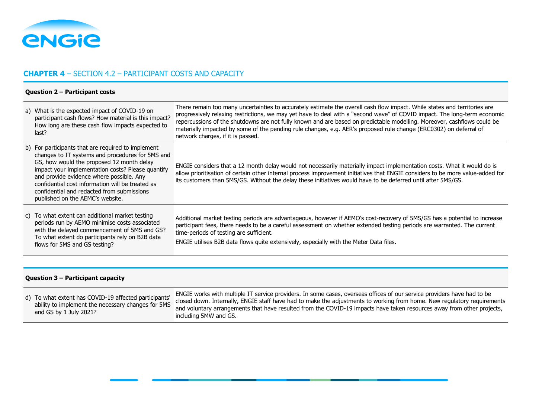

# **CHAPTER 4** – SECTION 4.2 – PARTICIPANT COSTS AND CAPACITY

#### **Question 2 – Participant costs**

| a) What is the expected impact of COVID-19 on<br>participant cash flows? How material is this impact?<br>How long are these cash flow impacts expected to<br>last?                                                                                                                                                                                                                         | There remain too many uncertainties to accurately estimate the overall cash flow impact. While states and territories are<br>progressively relaxing restrictions, we may yet have to deal with a "second wave" of COVID impact. The long-term economic<br>repercussions of the shutdowns are not fully known and are based on predictable modelling. Moreover, cashflows could be<br>materially impacted by some of the pending rule changes, e.g. AER's proposed rule change (ERC0302) on deferral of<br>network charges, if it is passed. |
|--------------------------------------------------------------------------------------------------------------------------------------------------------------------------------------------------------------------------------------------------------------------------------------------------------------------------------------------------------------------------------------------|---------------------------------------------------------------------------------------------------------------------------------------------------------------------------------------------------------------------------------------------------------------------------------------------------------------------------------------------------------------------------------------------------------------------------------------------------------------------------------------------------------------------------------------------|
| b) For participants that are required to implement<br>changes to IT systems and procedures for 5MS and<br>GS, how would the proposed 12 month delay<br>impact your implementation costs? Please quantify<br>and provide evidence where possible. Any<br>confidential cost information will be treated as<br>confidential and redacted from submissions<br>published on the AEMC's website. | ENGIE considers that a 12 month delay would not necessarily materially impact implementation costs. What it would do is<br>allow prioritisation of certain other internal process improvement initiatives that ENGIE considers to be more value-added for<br>its customers than 5MS/GS. Without the delay these initiatives would have to be deferred until after 5MS/GS.                                                                                                                                                                   |
| c) To what extent can additional market testing<br>periods run by AEMO minimise costs associated<br>with the delayed commencement of 5MS and GS?<br>To what extent do participants rely on B2B data<br>flows for 5MS and GS testing?                                                                                                                                                       | Additional market testing periods are advantageous, however if AEMO's cost-recovery of 5MS/GS has a potential to increase<br>participant fees, there needs to be a careful assessment on whether extended testing periods are warranted. The current<br>time-periods of testing are sufficient.<br>ENGIE utilises B2B data flows quite extensively, especially with the Meter Data files.                                                                                                                                                   |

#### **Question 3 – Participant capacity**

| d) To what extent has COVID-19 affected participants'<br>ability to implement the necessary changes for 5MS<br>and GS by 1 July 2021? | ENGIE works with multiple IT service providers. In some cases, overseas offices of our service providers have had to be<br>closed down. Internally, ENGIE staff have had to make the adjustments to working from home. New regulatory requirements<br>and voluntary arrangements that have resulted from the COVID-19 impacts have taken resources away from other projects,<br>including 5MW and GS. |
|---------------------------------------------------------------------------------------------------------------------------------------|-------------------------------------------------------------------------------------------------------------------------------------------------------------------------------------------------------------------------------------------------------------------------------------------------------------------------------------------------------------------------------------------------------|
|---------------------------------------------------------------------------------------------------------------------------------------|-------------------------------------------------------------------------------------------------------------------------------------------------------------------------------------------------------------------------------------------------------------------------------------------------------------------------------------------------------------------------------------------------------|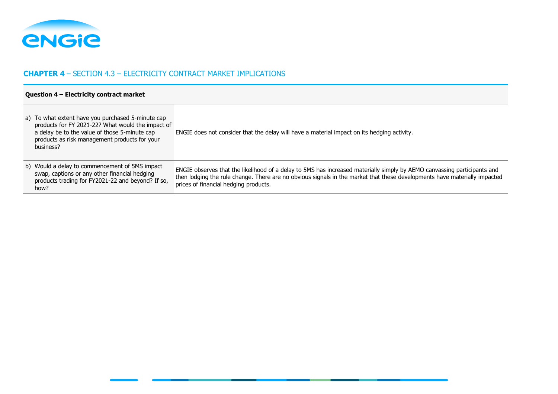

# **CHAPTER 4** – SECTION 4.3 – ELECTRICITY CONTRACT MARKET IMPLICATIONS

#### **Question 4 – Electricity contract market**

| a) To what extent have you purchased 5-minute cap<br>products for FY 2021-22? What would the impact of<br>a delay be to the value of those 5-minute cap<br>products as risk management products for your<br>business? | ENGIE does not consider that the delay will have a material impact on its hedging activity.                                                                                                                                                                                                    |
|-----------------------------------------------------------------------------------------------------------------------------------------------------------------------------------------------------------------------|------------------------------------------------------------------------------------------------------------------------------------------------------------------------------------------------------------------------------------------------------------------------------------------------|
| b) Would a delay to commencement of 5MS impact<br>swap, captions or any other financial hedging<br>products trading for FY2021-22 and beyond? If so,<br>how?                                                          | ENGIE observes that the likelihood of a delay to 5MS has increased materially simply by AEMO canvassing participants and<br>then lodging the rule change. There are no obvious signals in the market that these developments have materially impacted<br>prices of financial hedging products. |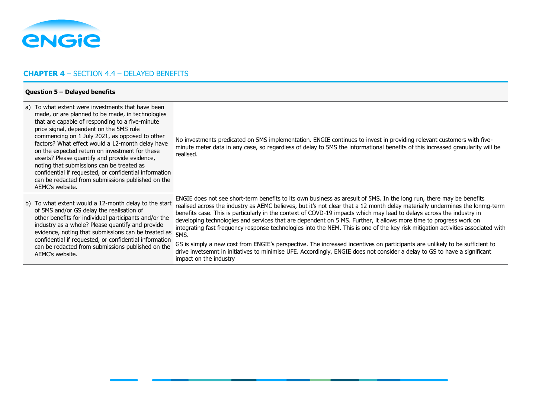

# **CHAPTER 4** – SECTION 4.4 – DELAYED BENEFITS

#### **Question 5 – Delayed benefits**

| a) To what extent were investments that have been<br>made, or are planned to be made, in technologies<br>that are capable of responding to a five-minute<br>price signal, dependent on the 5MS rule<br>commencing on 1 July 2021, as opposed to other<br>factors? What effect would a 12-month delay have<br>on the expected return on investment for these<br>assets? Please quantify and provide evidence,<br>noting that submissions can be treated as<br>confidential if requested, or confidential information<br>can be redacted from submissions published on the<br>AEMC's website. | No investments predicated on 5MS implementation. ENGIE continues to invest in providing relevant customers with five-<br>minute meter data in any case, so regardless of delay to 5MS the informational benefits of this increased granularity will be<br>realised.                                                                                                                                                                                                                                                                                                                                                                                                                                                                                                                                                                                                                                                                  |
|---------------------------------------------------------------------------------------------------------------------------------------------------------------------------------------------------------------------------------------------------------------------------------------------------------------------------------------------------------------------------------------------------------------------------------------------------------------------------------------------------------------------------------------------------------------------------------------------|--------------------------------------------------------------------------------------------------------------------------------------------------------------------------------------------------------------------------------------------------------------------------------------------------------------------------------------------------------------------------------------------------------------------------------------------------------------------------------------------------------------------------------------------------------------------------------------------------------------------------------------------------------------------------------------------------------------------------------------------------------------------------------------------------------------------------------------------------------------------------------------------------------------------------------------|
| b) To what extent would a 12-month delay to the start<br>of 5MS and/or GS delay the realisation of<br>other benefits for individual participants and/or the<br>industry as a whole? Please quantify and provide<br>evidence, noting that submissions can be treated as<br>confidential if requested, or confidential information<br>can be redacted from submissions published on the<br>AEMC's website.                                                                                                                                                                                    | ENGIE does not see short-term benefits to its own business as aresult of 5MS. In the long run, there may be benefits<br>realised across the industry as AEMC believes, but it's not clear that a 12 month delay materially undermines the lonmg-term<br>benefits case. This is particularly in the context of COVD-19 impacts which may lead to delays across the industry in<br>developing technologies and services that are dependent on 5 MS. Further, it allows more time to progress work on<br>integrating fast frequency response technologies into the NEM. This is one of the key risk mitigation activities associated with<br>5MS.<br>GS is simply a new cost from ENGIE's perspective. The increased incentives on participants are unlikely to be sufficient to<br>drive invetsemnt in initiatives to minimise UFE. Accordingly, ENGIE does not consider a delay to GS to have a significant<br>impact on the industry |